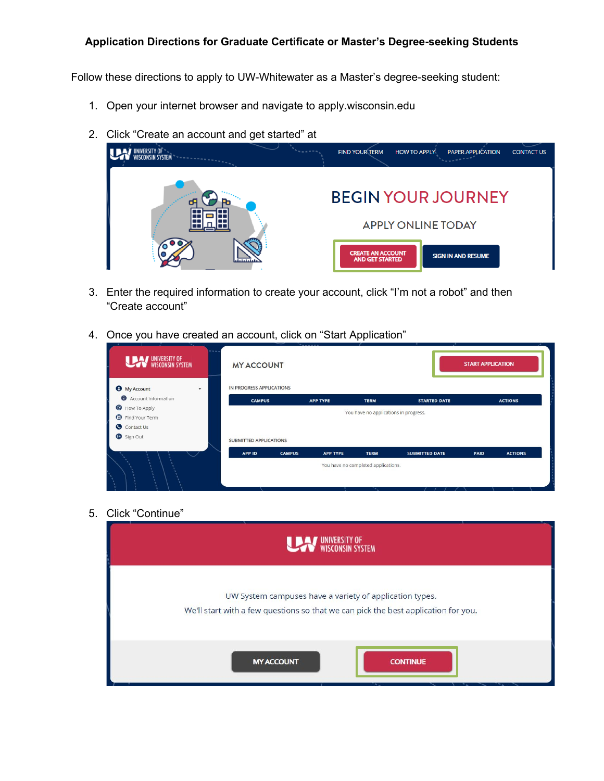## **Application Directions for Graduate Certificate or Master's Degree-seeking Students**

Follow these directions to apply to UW-Whitewater as a Master's degree-seeking student:

- 1. Open your internet browser and navigate to apply.wisconsin.edu
- 2. Click "Create an account and get started" at



- 3. Enter the required information to create your account, click "I'm not a robot" and then "Create account"
- 4. Once you have created an account, click on "Start Application"

| <br>UNIVERSITY OF WISCONSIN SYSTEM                             | <b>MY ACCOUNT</b>        |               |                 |                                       |                       | <b>START APPLICATION</b> |                |
|----------------------------------------------------------------|--------------------------|---------------|-----------------|---------------------------------------|-----------------------|--------------------------|----------------|
| <b>O</b> My Account<br>$\mathbf{v}$                            | IN PROGRESS APPLICATIONS |               |                 |                                       |                       |                          |                |
| Account Information                                            | <b>CAMPUS</b>            |               | <b>APP TYPE</b> | <b>TERM</b>                           | <b>STARTED DATE</b>   |                          | <b>ACTIONS</b> |
| <b>B</b> How To Apply<br><b>D</b> Find Your Term<br>Contact Us |                          |               |                 | You have no applications in progress. |                       |                          |                |
| Sign Out                                                       | SUBMITTED APPLICATIONS   |               |                 |                                       |                       |                          |                |
|                                                                | APP ID                   | <b>CAMPUS</b> | <b>APP TYPE</b> | <b>TERM</b>                           | <b>SUBMITTED DATE</b> | <b>PAID</b>              | <b>ACTIONS</b> |
| Ø.                                                             |                          |               |                 | You have no completed applications.   |                       |                          |                |

5. Click "Continue"

| <b>YSTEM</b>                                                                                                                                  |  |
|-----------------------------------------------------------------------------------------------------------------------------------------------|--|
| UW System campuses have a variety of application types.<br>We'll start with a few questions so that we can pick the best application for you. |  |
| <b>MY ACCOUNT</b><br><b>CONTINUE</b>                                                                                                          |  |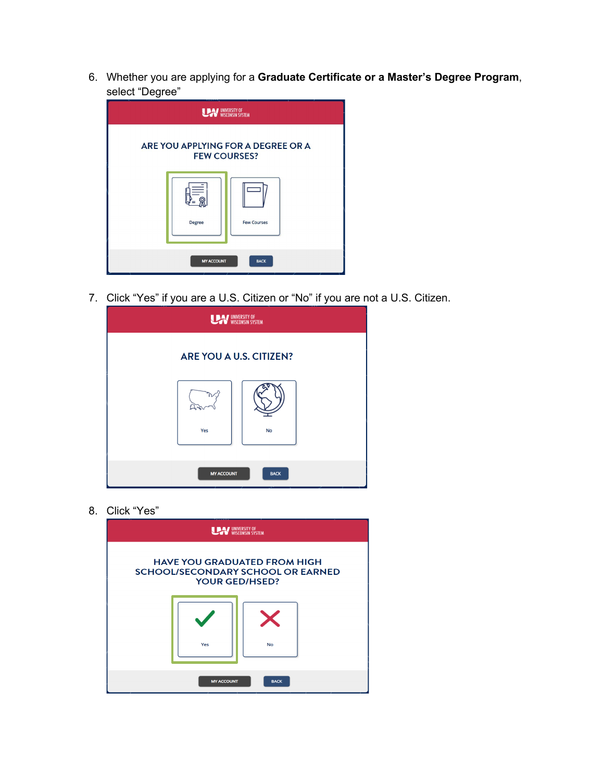6. Whether you are applying for a **Graduate Certificate or a Master's Degree Program**, select "Degree"

| ັ                                                         | WINNERSITY OF WISCONSIN SYSTEM      |  |  |
|-----------------------------------------------------------|-------------------------------------|--|--|
| ARE YOU APPLYING FOR A DEGREE OR A<br><b>FEW COURSES?</b> |                                     |  |  |
|                                                           | <b>Few Courses</b><br><b>Degree</b> |  |  |
|                                                           | <b>BACK</b><br><b>MY ACCOUNT</b>    |  |  |

7. Click "Yes" if you are a U.S. Citizen or "No" if you are not a U.S. Citizen.

|                         | UNIVERSITY OF WISCONSIN SYSTEM |  |
|-------------------------|--------------------------------|--|
| ARE YOU A U.S. CITIZEN? |                                |  |
| Yes                     | <b>No</b>                      |  |
| <b>MY ACCOUNT</b>       | <b>BACK</b>                    |  |

8. Click "Yes"

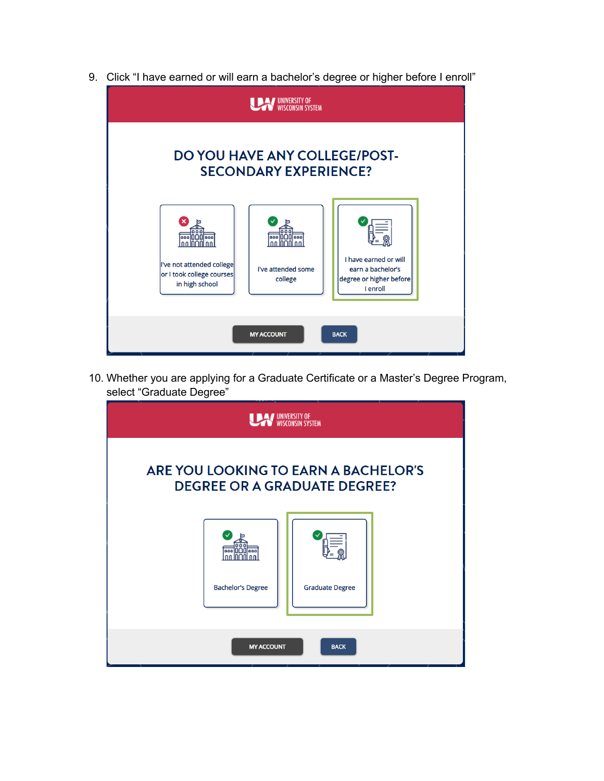9. Click "I have earned or will earn a bachelor's degree or higher before I enroll"



10. Whether you are applying for a Graduate Certificate or a Master's Degree Program, select "Graduate Degree"

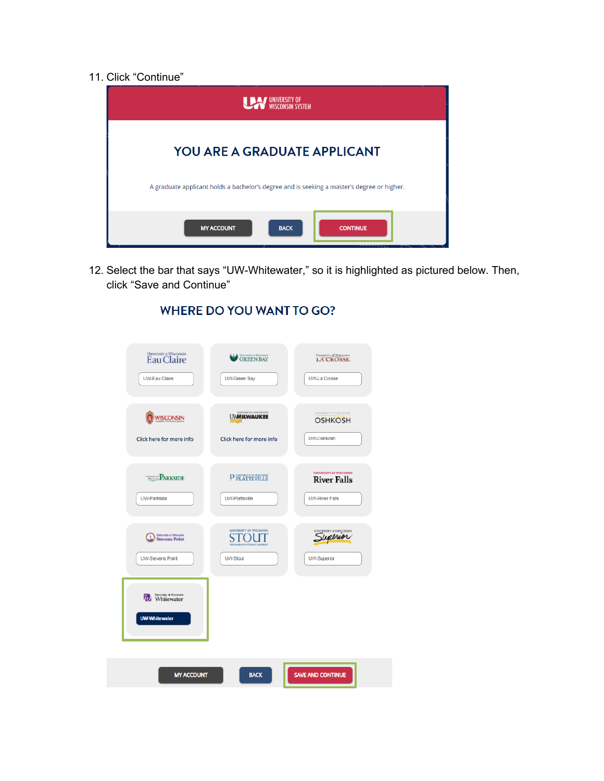11. Click "Continue"



12. Select the bar that says "UW-Whitewater," so it is highlighted as pictured below. Then, click "Save and Continue"

| University of Wisconsin<br>Eau Claire           | GREEN BAY                                      | LA CROSSE.                               |
|-------------------------------------------------|------------------------------------------------|------------------------------------------|
| <b>UW-Eau Claire</b>                            | <b>UW-Green Bay</b>                            | <b>UW-La Crosse</b>                      |
|                                                 |                                                |                                          |
| <b>WISCONSIN</b>                                | INIVERSITY eWISCONSIN<br><b>UMMILWAUKEE</b>    | UNIVERSITY @ WISCONSIN<br><b>OSHKOSH</b> |
| Click here for more info                        | Click here for more info                       | UW-Oshkosh                               |
|                                                 |                                                | <b>UNIVERSITY OF WISCONSIN</b>           |
| <b>PARKSIDE</b>                                 | P PLATTEVILLE                                  | <b>River Falls</b>                       |
| <b>UW-Parkside</b>                              | <b>UW-Platteville</b>                          | <b>UW-River Falls</b>                    |
| University of Wisconsin                         | <b>UNIVERSITY OF WISCONSIN</b><br><b>STOLE</b> | uperior                                  |
| <b>Stevens Point</b><br><b>UW-Stevens Point</b> | <b>UW-Stout</b>                                | <b>UW-Superior</b>                       |
|                                                 |                                                |                                          |
| <b>Whitewater</b>                               |                                                |                                          |
| <b>UW-Whitewater</b>                            |                                                |                                          |
|                                                 |                                                |                                          |
|                                                 |                                                |                                          |
| <b>MY ACCOUNT</b>                               | <b>BACK</b>                                    | <b>SAVE AND CONTINUE</b>                 |

## **WHERE DO YOU WANT TO GO?**